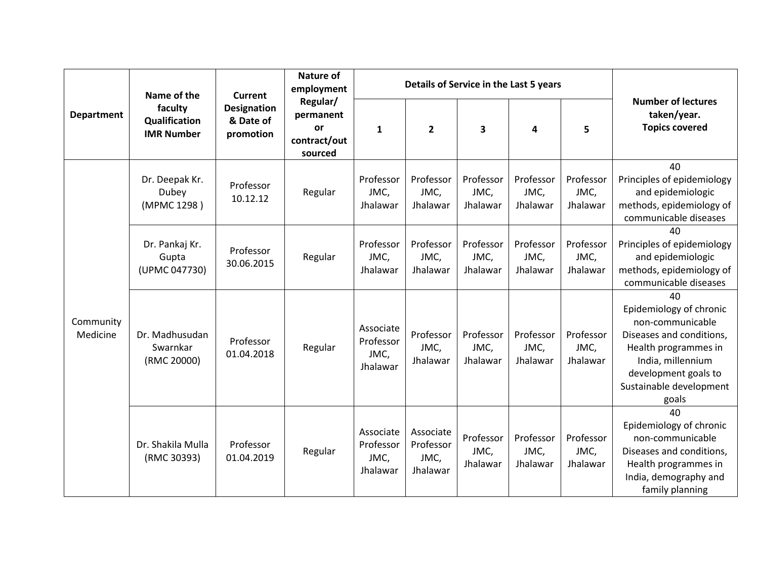| <b>Department</b>     | Name of the<br>faculty<br>Qualification<br><b>IMR Number</b> | <b>Current</b><br><b>Designation</b><br>& Date of<br>promotion | <b>Nature of</b><br>employment<br>Regular/<br>permanent<br><b>or</b><br>contract/out<br>sourced |                                            | Details of Service in the Last 5 years     |                               |                               |                               |                                                                                                                                                                                        |
|-----------------------|--------------------------------------------------------------|----------------------------------------------------------------|-------------------------------------------------------------------------------------------------|--------------------------------------------|--------------------------------------------|-------------------------------|-------------------------------|-------------------------------|----------------------------------------------------------------------------------------------------------------------------------------------------------------------------------------|
|                       |                                                              |                                                                |                                                                                                 | $\mathbf{1}$                               | $\overline{2}$                             | 3                             | 4                             | 5                             | <b>Number of lectures</b><br>taken/year.<br><b>Topics covered</b>                                                                                                                      |
| Community<br>Medicine | Dr. Deepak Kr.<br>Dubey<br>(MPMC 1298)                       | Professor<br>10.12.12                                          | Regular                                                                                         | Professor<br>JMC,<br>Jhalawar              | Professor<br>JMC,<br>Jhalawar              | Professor<br>JMC,<br>Jhalawar | Professor<br>JMC,<br>Jhalawar | Professor<br>JMC,<br>Jhalawar | 40<br>Principles of epidemiology<br>and epidemiologic<br>methods, epidemiology of<br>communicable diseases                                                                             |
|                       | Dr. Pankaj Kr.<br>Gupta<br>(UPMC 047730)                     | Professor<br>30.06.2015                                        | Regular                                                                                         | Professor<br>JMC,<br>Jhalawar              | Professor<br>JMC,<br>Jhalawar              | Professor<br>JMC,<br>Jhalawar | Professor<br>JMC,<br>Jhalawar | Professor<br>JMC,<br>Jhalawar | 40<br>Principles of epidemiology<br>and epidemiologic<br>methods, epidemiology of<br>communicable diseases                                                                             |
|                       | Dr. Madhusudan<br>Swarnkar<br>(RMC 20000)                    | Professor<br>01.04.2018                                        | Regular                                                                                         | Associate<br>Professor<br>JMC,<br>Jhalawar | Professor<br>JMC,<br>Jhalawar              | Professor<br>JMC,<br>Jhalawar | Professor<br>JMC,<br>Jhalawar | Professor<br>JMC,<br>Jhalawar | 40<br>Epidemiology of chronic<br>non-communicable<br>Diseases and conditions,<br>Health programmes in<br>India, millennium<br>development goals to<br>Sustainable development<br>goals |
|                       | Dr. Shakila Mulla<br>(RMC 30393)                             | Professor<br>01.04.2019                                        | Regular                                                                                         | Associate<br>Professor<br>JMC,<br>Jhalawar | Associate<br>Professor<br>JMC,<br>Jhalawar | Professor<br>JMC,<br>Jhalawar | Professor<br>JMC,<br>Jhalawar | Professor<br>JMC,<br>Jhalawar | 40<br>Epidemiology of chronic<br>non-communicable<br>Diseases and conditions,<br>Health programmes in<br>India, demography and<br>family planning                                      |